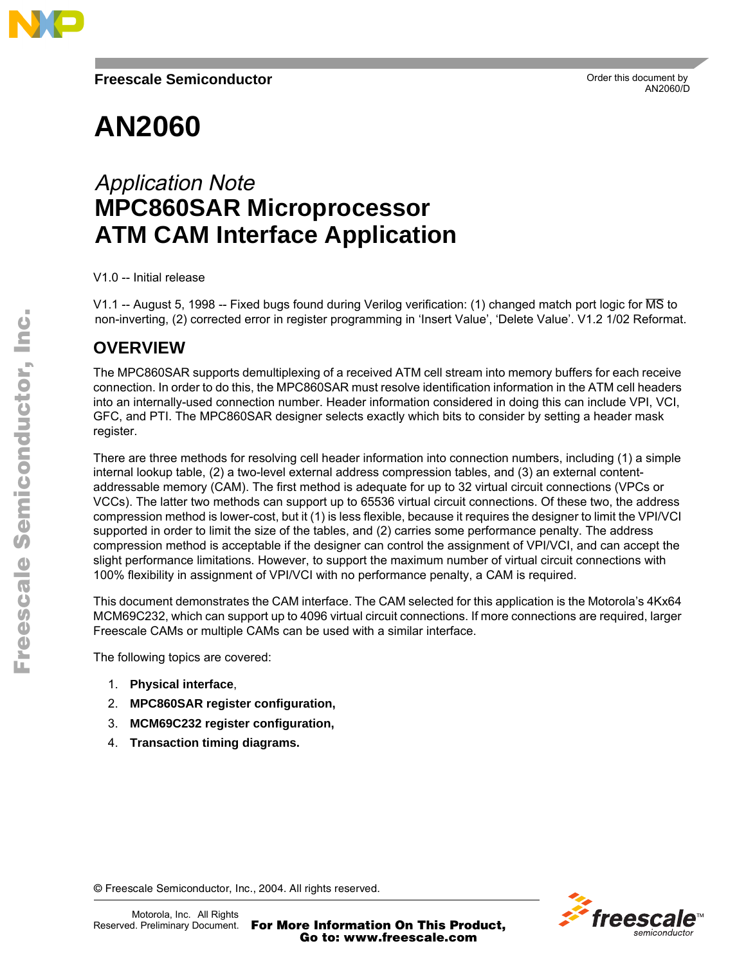

# **AN2060**

## Application Note **MPC860SAR Microprocessor ATM CAM Interface Application**

V1.0 -- Initial release

V1.1 -- August 5, 1998 -- Fixed bugs found during Verilog verification: (1) changed match port logic for MS to non-inverting, (2) corrected error in register programming in 'Insert Value', 'Delete Value'. V1.2 1/02 Reformat.

## **OVERVIEW**

The MPC860SAR supports demultiplexing of a received ATM cell stream into memory buffers for each receive connection. In order to do this, the MPC860SAR must resolve identification information in the ATM cell headers into an internally-used connection number. Header information considered in doing this can include VPI, VCI, GFC, and PTI. The MPC860SAR designer selects exactly which bits to consider by setting a header mask register.

There are three methods for resolving cell header information into connection numbers, including (1) a simple internal lookup table, (2) a two-level external address compression tables, and (3) an external contentaddressable memory (CAM). The first method is adequate for up to 32 virtual circuit connections (VPCs or VCCs). The latter two methods can support up to 65536 virtual circuit connections. Of these two, the address compression method is lower-cost, but it (1) is less flexible, because it requires the designer to limit the VPI/VCI supported in order to limit the size of the tables, and (2) carries some performance penalty. The address compression method is acceptable if the designer can control the assignment of VPI/VCI, and can accept the slight performance limitations. However, to support the maximum number of virtual circuit connections with 100% flexibility in assignment of VPI/VCI with no performance penalty, a CAM is required.

This document demonstrates the CAM interface. The CAM selected for this application is the Motorola's 4Kx64 MCM69C232, which can support up to 4096 virtual circuit connections. If more connections are required, larger Freescale CAMs or multiple CAMs can be used with a similar interface.

The following topics are covered:

- 1. **Physical interface**,
- 2. **MPC860SAR register configuration,**
- 3. **MCM69C232 register configuration,**
- 4. **Transaction timing diagrams.**

o n d u  $\mathbf 0$ t o

r, I n

.<br>ق



© Freescale Semiconductor, Inc., 2004. All rights reserved.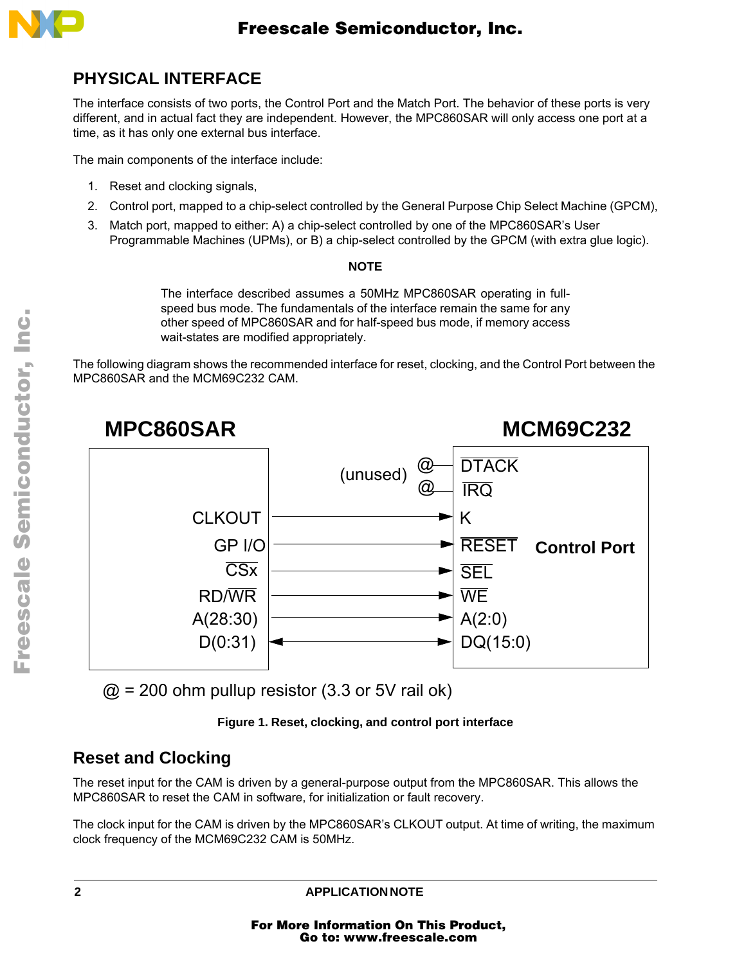

## **PHYSICAL INTERFACE**

The interface consists of two ports, the Control Port and the Match Port. The behavior of these ports is very different, and in actual fact they are independent. However, the MPC860SAR will only access one port at a time, as it has only one external bus interface.

The main components of the interface include:

- 1. Reset and clocking signals,
- 2. Control port, mapped to a chip-select controlled by the General Purpose Chip Select Machine (GPCM),
- 3. Match port, mapped to either: A) a chip-select controlled by one of the MPC860SAR's User Programmable Machines (UPMs), or B) a chip-select controlled by the GPCM (with extra glue logic).

#### **NOTE**

The interface described assumes a 50MHz MPC860SAR operating in fullspeed bus mode. The fundamentals of the interface remain the same for any other speed of MPC860SAR and for half-speed bus mode, if memory access wait-states are modified appropriately.

The following diagram shows the recommended interface for reset, clocking, and the Control Port between the MPC860SAR and the MCM69C232 CAM.



 $\textcircled{2}$  = 200 ohm pullup resistor (3.3 or 5V rail ok)

#### **Figure 1. Reset, clocking, and control port interface**

## **Reset and Clocking**

The reset input for the CAM is driven by a general-purpose output from the MPC860SAR. This allows the MPC860SAR to reset the CAM in software, for initialization or fault recovery.

The clock input for the CAM is driven by the MPC860SAR's CLKOUT output. At time of writing, the maximum clock frequency of the MCM69C232 CAM is 50MHz.

**2 APPLICATION NOTE**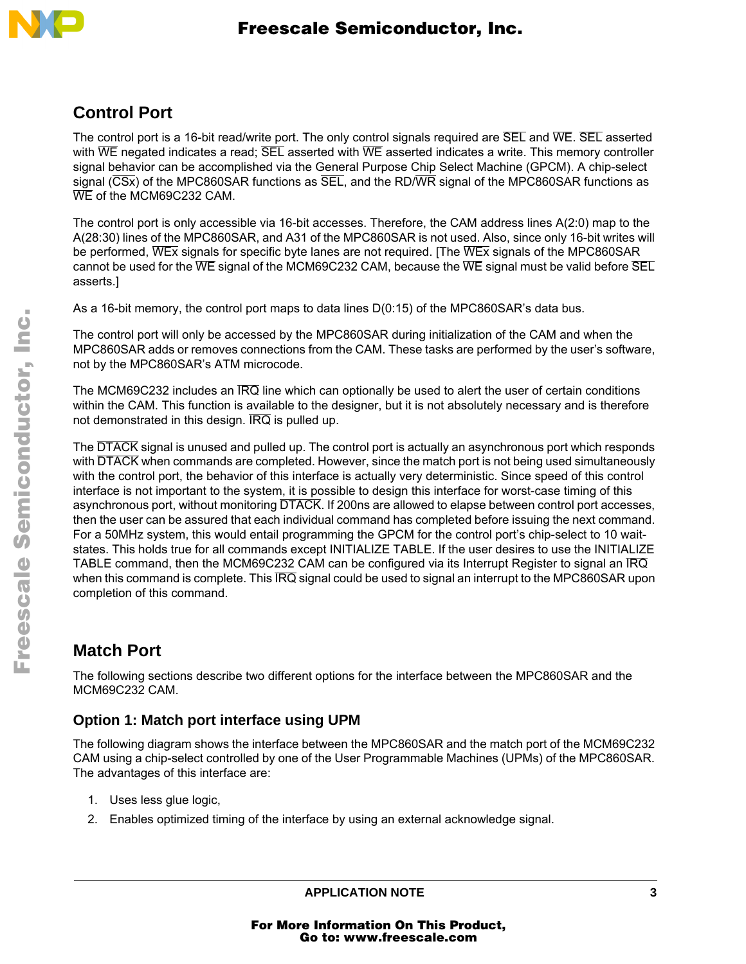

#### **Control Port**

The control port is a 16-bit read/write port. The only control signals required are SEL and WE. SEL asserted with  $\overline{\text{WE}}$  negated indicates a read;  $\overline{\text{SEL}}$  asserted with  $\overline{\text{WE}}$  asserted indicates a write. This memory controller signal behavior can be accomplished via the General Purpose Chip Select Machine (GPCM). A chip-select signal ( $\overline{\text{CSx}}$ ) of the MPC860SAR functions as  $\overline{\text{SEL}}$ , and the RD/WR signal of the MPC860SAR functions as WE of the MCM69C232 CAM.

The control port is only accessible via 16-bit accesses. Therefore, the CAM address lines A(2:0) map to the A(28:30) lines of the MPC860SAR, and A31 of the MPC860SAR is not used. Also, since only 16-bit writes will be performed, WEX signals for specific byte lanes are not required. [The WEX signals of the MPC860SAR cannot be used for the  $\overline{WE}$  signal of the MCM69C232 CAM, because the  $\overline{WE}$  signal must be valid before  $\overline{SEL}$ asserts.]

As a 16-bit memory, the control port maps to data lines D(0:15) of the MPC860SAR's data bus.

The control port will only be accessed by the MPC860SAR during initialization of the CAM and when the MPC860SAR adds or removes connections from the CAM. These tasks are performed by the user's software, not by the MPC860SAR's ATM microcode.

The MCM69C232 includes an IRQ line which can optionally be used to alert the user of certain conditions within the CAM. This function is available to the designer, but it is not absolutely necessary and is therefore not demonstrated in this design.  $\overline{IRQ}$  is pulled up.

The DTACK signal is unused and pulled up. The control port is actually an asynchronous port which responds with DTACK when commands are completed. However, since the match port is not being used simultaneously with the control port, the behavior of this interface is actually very deterministic. Since speed of this control interface is not important to the system, it is possible to design this interface for worst-case timing of this asynchronous port, without monitoring DTACK. If 200ns are allowed to elapse between control port accesses, then the user can be assured that each individual command has completed before issuing the next command. For a 50MHz system, this would entail programming the GPCM for the control port's chip-select to 10 waitstates. This holds true for all commands except INITIALIZE TABLE. If the user desires to use the INITIALIZE TABLE command, then the MCM69C232 CAM can be configured via its Interrupt Register to signal an IRQ when this command is complete. This  $\overline{IRQ}$  signal could be used to signal an interrupt to the MPC860SAR upon completion of this command.

## **Match Port**

The following sections describe two different options for the interface between the MPC860SAR and the MCM69C232 CAM.

#### **Option 1: Match port interface using UPM**

The following diagram shows the interface between the MPC860SAR and the match port of the MCM69C232 CAM using a chip-select controlled by one of the User Programmable Machines (UPMs) of the MPC860SAR. The advantages of this interface are:

- 1. Uses less glue logic,
- 2. Enables optimized timing of the interface by using an external acknowledge signal.

Fr  $\boldsymbol{\Phi}$  $\bf \Phi$  $\boldsymbol{\eta}$  $\mathbf 0$ 

ale

 $\boldsymbol{g}$  $\bf \Phi$ 

mic

o n d u  $\mathbf 0$ t o

r, I

n

.<br>ق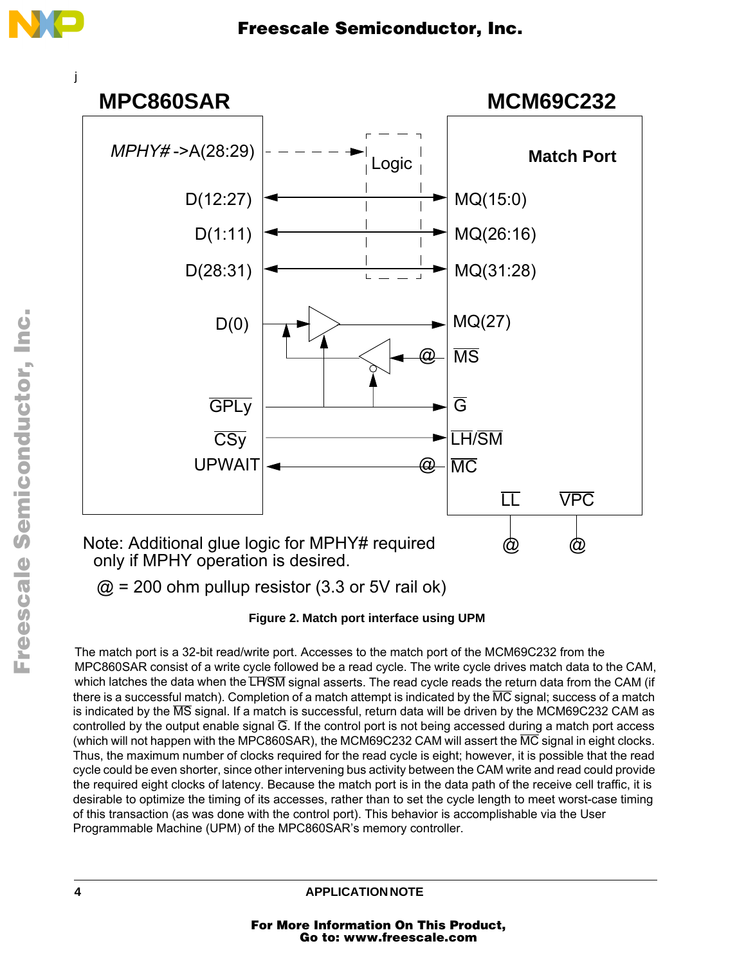

 $@ = 200$  ohm pullup resistor (3.3 or 5V rail ok)

**Figure 2. Match port interface using UPM**

The match port is a 32-bit read/write port. Accesses to the match port of the MCM69C232 from the MPC860SAR consist of a write cycle followed be a read cycle. The write cycle drives match data to the CAM, which latches the data when the LH/SM signal asserts. The read cycle reads the return data from the CAM (if there is a successful match). Completion of a match attempt is indicated by the  $\overline{MC}$  signal; success of a match is indicated by the MS signal. If a match is successful, return data will be driven by the MCM69C232 CAM as controlled by the output enable signal  $\overline{G}$ . If the control port is not being accessed during a match port access (which will not happen with the MPC860SAR), the MCM69C232 CAM will assert the  $\overline{MC}$  signal in eight clocks. Thus, the maximum number of clocks required for the read cycle is eight; however, it is possible that the read cycle could be even shorter, since other intervening bus activity between the CAM write and read could provide the required eight clocks of latency. Because the match port is in the data path of the receive cell traffic, it is desirable to optimize the timing of its accesses, rather than to set the cycle length to meet worst-case timing of this transaction (as was done with the control port). This behavior is accomplishable via the User Programmable Machine (UPM) of the MPC860SAR's memory controller.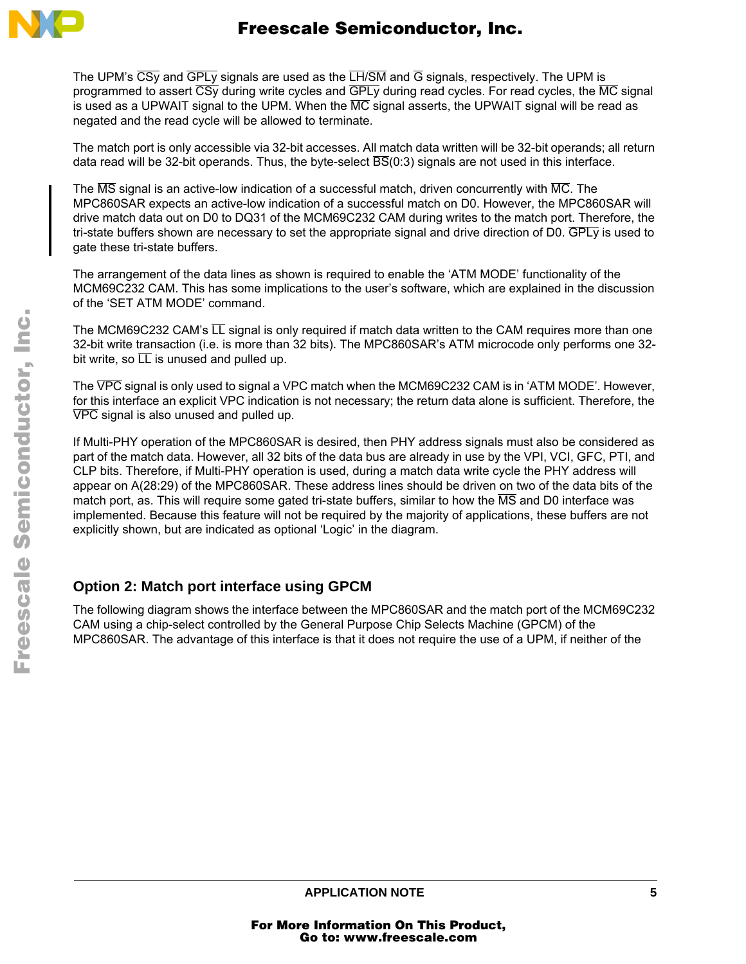

The UPM's CSy and GPLy signals are used as the LH/SM and G signals, respectively. The UPM is programmed to assert  $\overline{CSy}$  during write cycles and  $\overline{GPLy}$  during read cycles. For read cycles, the MC signal is used as a UPWAIT signal to the UPM. When the  $\overline{MC}$  signal asserts, the UPWAIT signal will be read as negated and the read cycle will be allowed to terminate.

The match port is only accessible via 32-bit accesses. All match data written will be 32-bit operands; all return data read will be 32-bit operands. Thus, the byte-select  $\overline{BS}(0.3)$  signals are not used in this interface.

The MS signal is an active-low indication of a successful match, driven concurrently with MC. The MPC860SAR expects an active-low indication of a successful match on D0. However, the MPC860SAR will drive match data out on D0 to DQ31 of the MCM69C232 CAM during writes to the match port. Therefore, the tri-state buffers shown are necessary to set the appropriate signal and drive direction of D0. GPLy is used to gate these tri-state buffers.

The arrangement of the data lines as shown is required to enable the 'ATM MODE' functionality of the MCM69C232 CAM. This has some implications to the user's software, which are explained in the discussion of the 'SET ATM MODE' command.

The MCM69C232 CAM's  $\overline{LL}$  signal is only required if match data written to the CAM requires more than one 32-bit write transaction (i.e. is more than 32 bits). The MPC860SAR's ATM microcode only performs one 32 bit write, so  $\overline{LL}$  is unused and pulled up.

The VPC signal is only used to signal a VPC match when the MCM69C232 CAM is in 'ATM MODE'. However, for this interface an explicit VPC indication is not necessary; the return data alone is sufficient. Therefore, the VPC signal is also unused and pulled up.

If Multi-PHY operation of the MPC860SAR is desired, then PHY address signals must also be considered as part of the match data. However, all 32 bits of the data bus are already in use by the VPI, VCI, GFC, PTI, and CLP bits. Therefore, if Multi-PHY operation is used, during a match data write cycle the PHY address will appear on A(28:29) of the MPC860SAR. These address lines should be driven on two of the data bits of the match port, as. This will require some gated tri-state buffers, similar to how the  $\overline{\text{MS}}$  and D0 interface was implemented. Because this feature will not be required by the majority of applications, these buffers are not explicitly shown, but are indicated as optional 'Logic' in the diagram.

#### **Option 2: Match port interface using GPCM**

The following diagram shows the interface between the MPC860SAR and the match port of the MCM69C232 CAM using a chip-select controlled by the General Purpose Chip Selects Machine (GPCM) of the MPC860SAR. The advantage of this interface is that it does not require the use of a UPM, if neither of the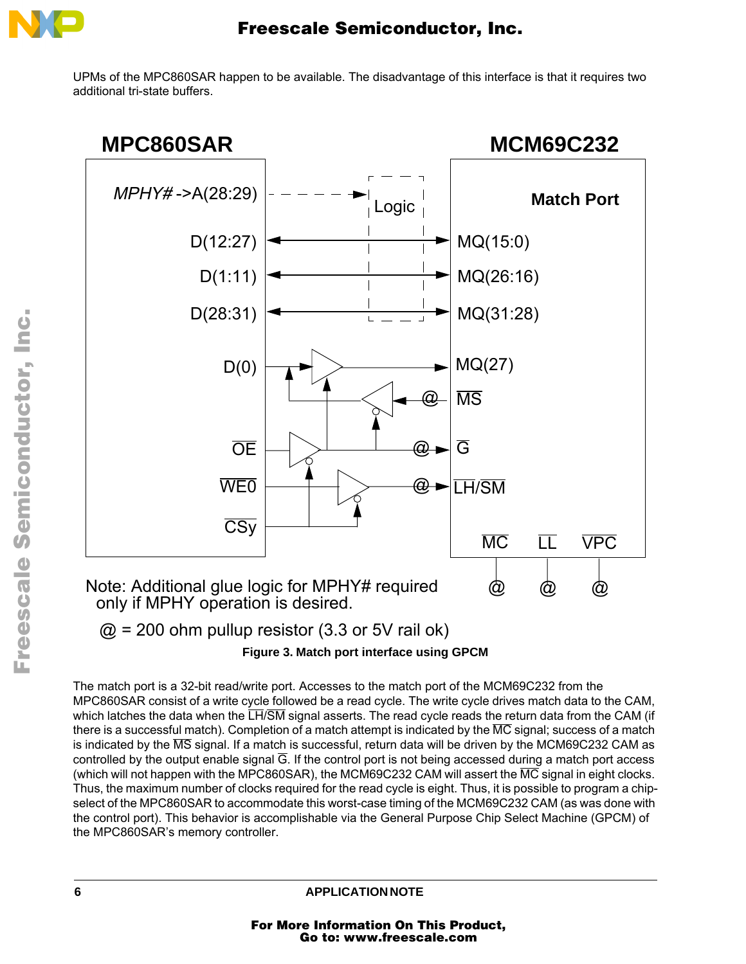

UPMs of the MPC860SAR happen to be available. The disadvantage of this interface is that it requires two additional tri-state buffers.



 $\omega$  = 200 ohm pullup resistor (3.3 or 5V rail ok)

**Figure 3. Match port interface using GPCM**

The match port is a 32-bit read/write port. Accesses to the match port of the MCM69C232 from the MPC860SAR consist of a write cycle followed be a read cycle. The write cycle drives match data to the CAM, which latches the data when the LH/SM signal asserts. The read cycle reads the return data from the CAM (if there is a successful match). Completion of a match attempt is indicated by the MC signal; success of a match is indicated by the MS signal. If a match is successful, return data will be driven by the MCM69C232 CAM as controlled by the output enable signal G. If the control port is not being accessed during a match port access (which will not happen with the MPC860SAR), the MCM69C232 CAM will assert the  $\overline{MC}$  signal in eight clocks. Thus, the maximum number of clocks required for the read cycle is eight. Thus, it is possible to program a chipselect of the MPC860SAR to accommodate this worst-case timing of the MCM69C232 CAM (as was done with the control port). This behavior is accomplishable via the General Purpose Chip Select Machine (GPCM) of the MPC860SAR's memory controller.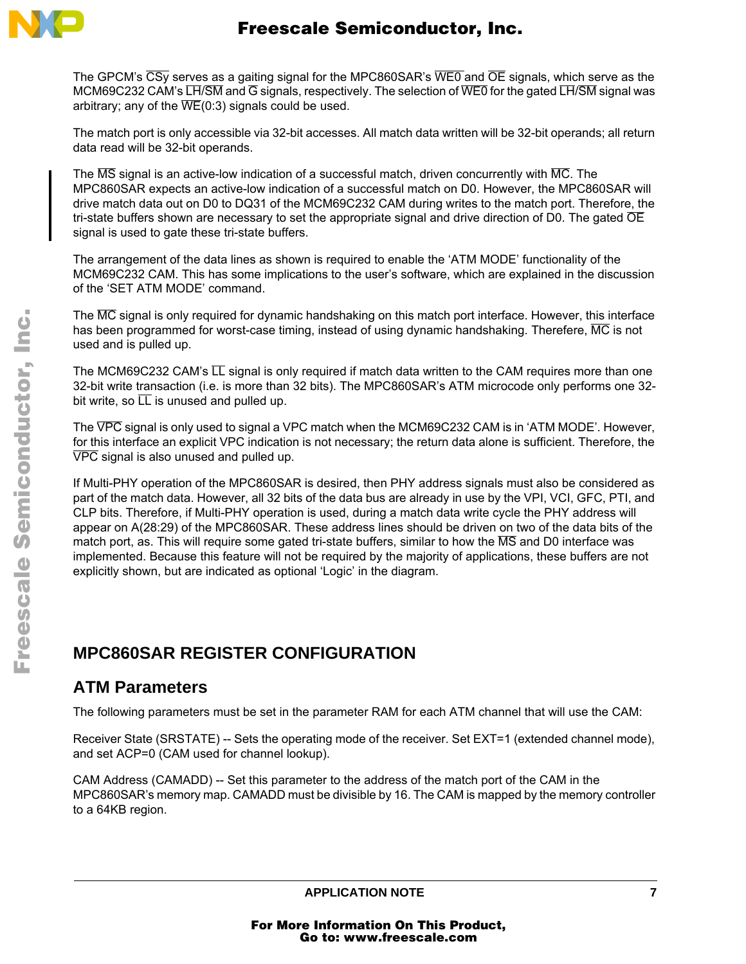

The GPCM's CSy serves as a gaiting signal for the MPC860SAR's WE0 and OE signals, which serve as the MCM69C232 CAM's LH/SM and G signals, respectively. The selection of WE0 for the gated LH/SM signal was arbitrary; any of the  $\overline{\text{WE}}(0.3)$  signals could be used.

The match port is only accessible via 32-bit accesses. All match data written will be 32-bit operands; all return data read will be 32-bit operands.

The  $\overline{\text{MS}}$  signal is an active-low indication of a successful match, driven concurrently with  $\overline{\text{MC}}$ . The MPC860SAR expects an active-low indication of a successful match on D0. However, the MPC860SAR will drive match data out on D0 to DQ31 of the MCM69C232 CAM during writes to the match port. Therefore, the tri-state buffers shown are necessary to set the appropriate signal and drive direction of D0. The gated  $\overline{OE}$ signal is used to gate these tri-state buffers.

The arrangement of the data lines as shown is required to enable the 'ATM MODE' functionality of the MCM69C232 CAM. This has some implications to the user's software, which are explained in the discussion of the 'SET ATM MODE' command.

The MC signal is only required for dynamic handshaking on this match port interface. However, this interface has been programmed for worst-case timing, instead of using dynamic handshaking. Therefere,  $\overline{MC}$  is not used and is pulled up.

The MCM69C232 CAM's  $\overline{LL}$  signal is only required if match data written to the CAM requires more than one 32-bit write transaction (i.e. is more than 32 bits). The MPC860SAR's ATM microcode only performs one 32 bit write, so  $\overline{LL}$  is unused and pulled up.

The VPC signal is only used to signal a VPC match when the MCM69C232 CAM is in 'ATM MODE'. However, for this interface an explicit VPC indication is not necessary; the return data alone is sufficient. Therefore, the VPC signal is also unused and pulled up.

If Multi-PHY operation of the MPC860SAR is desired, then PHY address signals must also be considered as part of the match data. However, all 32 bits of the data bus are already in use by the VPI, VCI, GFC, PTI, and CLP bits. Therefore, if Multi-PHY operation is used, during a match data write cycle the PHY address will appear on A(28:29) of the MPC860SAR. These address lines should be driven on two of the data bits of the match port, as. This will require some gated tri-state buffers, similar to how the MS and D0 interface was implemented. Because this feature will not be required by the majority of applications, these buffers are not explicitly shown, but are indicated as optional 'Logic' in the diagram.

## **MPC860SAR REGISTER CONFIGURATION**

#### **ATM Parameters**

The following parameters must be set in the parameter RAM for each ATM channel that will use the CAM:

Receiver State (SRSTATE) -- Sets the operating mode of the receiver. Set EXT=1 (extended channel mode), and set ACP=0 (CAM used for channel lookup).

CAM Address (CAMADD) -- Set this parameter to the address of the match port of the CAM in the MPC860SAR's memory map. CAMADD must be divisible by 16. The CAM is mapped by the memory controller to a 64KB region.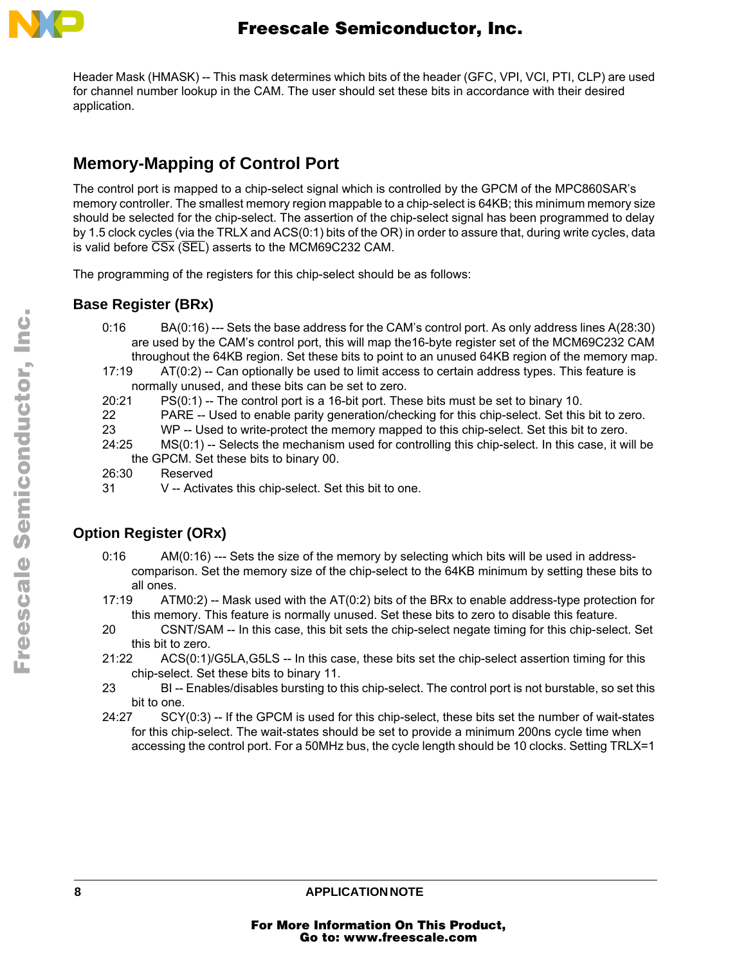

Header Mask (HMASK) -- This mask determines which bits of the header (GFC, VPI, VCI, PTI, CLP) are used for channel number lookup in the CAM. The user should set these bits in accordance with their desired application.

## **Memory-Mapping of Control Port**

The control port is mapped to a chip-select signal which is controlled by the GPCM of the MPC860SAR's memory controller. The smallest memory region mappable to a chip-select is 64KB; this minimum memory size should be selected for the chip-select. The assertion of the chip-select signal has been programmed to delay by 1.5 clock cycles (via the TRLX and ACS(0:1) bits of the OR) in order to assure that, during write cycles, data is valid before  $\overline{CSx}$  ( $\overline{SEL}$ ) asserts to the MCM69C232 CAM.

The programming of the registers for this chip-select should be as follows:

#### **Base Register (BRx)**

- 0:16 BA(0:16) --- Sets the base address for the CAM's control port. As only address lines A(28:30) are used by the CAM's control port, this will map the16-byte register set of the MCM69C232 CAM throughout the 64KB region. Set these bits to point to an unused 64KB region of the memory map.
- 17:19 AT(0:2) -- Can optionally be used to limit access to certain address types. This feature is normally unused, and these bits can be set to zero.
- 20:21 PS(0:1) -- The control port is a 16-bit port. These bits must be set to binary 10.
- 22 PARE -- Used to enable parity generation/checking for this chip-select. Set this bit to zero.
- 23 WP -- Used to write-protect the memory mapped to this chip-select. Set this bit to zero.
- 24:25 MS(0:1) -- Selects the mechanism used for controlling this chip-select. In this case, it will be the GPCM. Set these bits to binary 00.
- 26:30 Reserved
- 31 V -- Activates this chip-select. Set this bit to one.

#### **Option Register (ORx)**

- 0:16 AM(0:16) --- Sets the size of the memory by selecting which bits will be used in addresscomparison. Set the memory size of the chip-select to the 64KB minimum by setting these bits to all ones.
- 17:19 ATM0:2) -- Mask used with the AT(0:2) bits of the BRx to enable address-type protection for this memory. This feature is normally unused. Set these bits to zero to disable this feature.
- 20 CSNT/SAM -- In this case, this bit sets the chip-select negate timing for this chip-select. Set this bit to zero.
- 21:22 ACS(0:1)/G5LA,G5LS -- In this case, these bits set the chip-select assertion timing for this chip-select. Set these bits to binary 11.
- 23 BI -- Enables/disables bursting to this chip-select. The control port is not burstable, so set this bit to one.
- 24:27 SCY(0:3) -- If the GPCM is used for this chip-select, these bits set the number of wait-states for this chip-select. The wait-states should be set to provide a minimum 200ns cycle time when accessing the control port. For a 50MHz bus, the cycle length should be 10 clocks. Setting TRLX=1

8 APPLICATION NOTE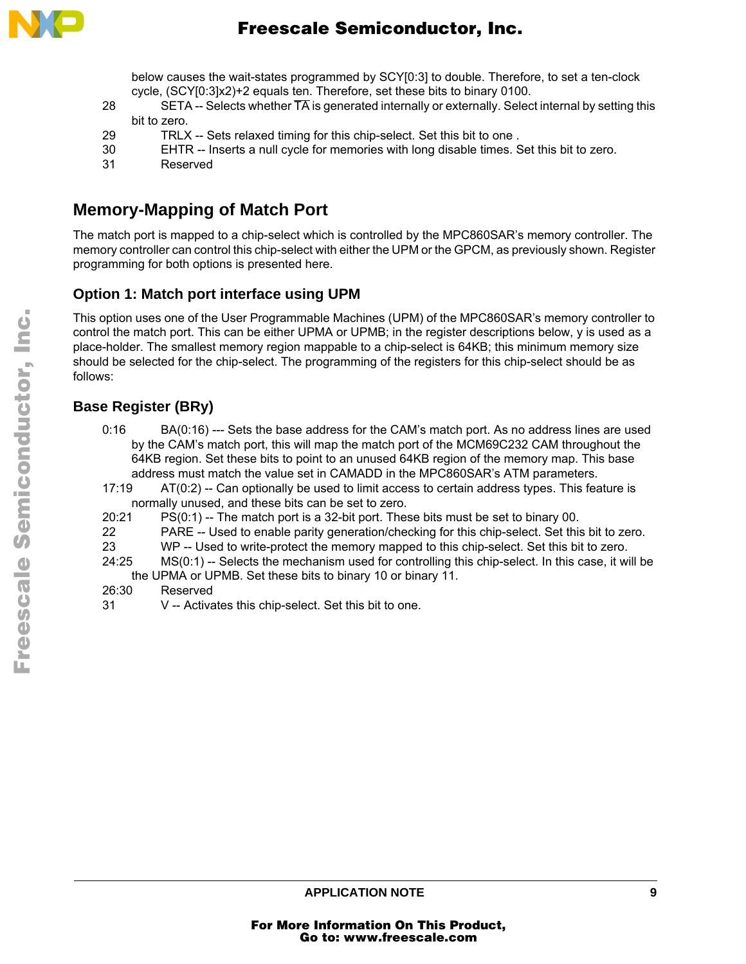

below causes the wait-states programmed by SCY[0:3] to double. Therefore, to set a ten-clock cycle, (SCY[0:3]x2)+2 equals ten. Therefore, set these bits to binary 0100.

- 28 SETA -- Selects whether  $\overline{TA}$  is generated internally or externally. Select internal by setting this bit to zero.
- 29 TRLX -- Sets relaxed timing for this chip-select. Set this bit to one .
- 30 EHTR -- Inserts a null cycle for memories with long disable times. Set this bit to zero.
- 31 Reserved

## **Memory-Mapping of Match Port**

The match port is mapped to a chip-select which is controlled by the MPC860SAR's memory controller. The memory controller can control this chip-select with either the UPM or the GPCM, as previously shown. Register programming for both options is presented here.

#### **Option 1: Match port interface using UPM**

This option uses one of the User Programmable Machines (UPM) of the MPC860SAR's memory controller to control the match port. This can be either UPMA or UPMB; in the register descriptions below, y is used as a place-holder. The smallest memory region mappable to a chip-select is 64KB; this minimum memory size should be selected for the chip-select. The programming of the registers for this chip-select should be as follows:

#### **Base Register (BRy)**

- 0:16 BA(0:16) --- Sets the base address for the CAM's match port. As no address lines are used by the CAM's match port, this will map the match port of the MCM69C232 CAM throughout the 64KB region. Set these bits to point to an unused 64KB region of the memory map. This base address must match the value set in CAMADD in the MPC860SAR's ATM parameters.
- 17:19 AT(0:2) -- Can optionally be used to limit access to certain address types. This feature is normally unused, and these bits can be set to zero.
- 20:21 PS(0:1) -- The match port is a 32-bit port. These bits must be set to binary 00.
- 22 PARE -- Used to enable parity generation/checking for this chip-select. Set this bit to zero.
- 23 WP -- Used to write-protect the memory mapped to this chip-select. Set this bit to zero.
- 24:25 MS(0:1) -- Selects the mechanism used for controlling this chip-select. In this case, it will be the UPMA or UPMB. Set these bits to binary 10 or binary 11.
- 26:30 Reserved
- 31 V -- Activates this chip-select. Set this bit to one.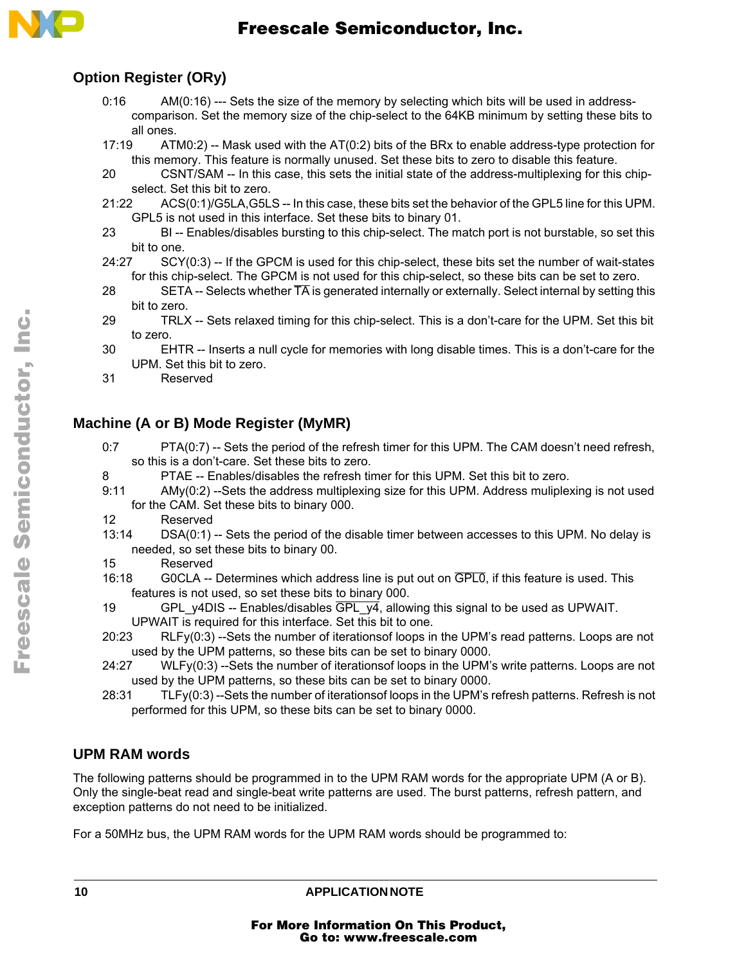

#### **Option Register (ORy)**

- 0:16 AM(0:16) --- Sets the size of the memory by selecting which bits will be used in addresscomparison. Set the memory size of the chip-select to the 64KB minimum by setting these bits to all ones.
- 17:19 ATM0:2) -- Mask used with the AT(0:2) bits of the BRx to enable address-type protection for this memory. This feature is normally unused. Set these bits to zero to disable this feature.
- 20 CSNT/SAM -- In this case, this sets the initial state of the address-multiplexing for this chipselect. Set this bit to zero.
- 21:22 ACS(0:1)/G5LA,G5LS -- In this case, these bits set the behavior of the GPL5 line for this UPM. GPL5 is not used in this interface. Set these bits to binary 01.
- 23 BI -- Enables/disables bursting to this chip-select. The match port is not burstable, so set this bit to one.
- 24:27 SCY(0:3) -- If the GPCM is used for this chip-select, these bits set the number of wait-states for this chip-select. The GPCM is not used for this chip-select, so these bits can be set to zero.
- 28 SETA -- Selects whether  $\overline{TA}$  is generated internally or externally. Select internal by setting this bit to zero.
- 29 TRLX -- Sets relaxed timing for this chip-select. This is a don't-care for the UPM. Set this bit to zero.
- 30 EHTR -- Inserts a null cycle for memories with long disable times. This is a don't-care for the UPM. Set this bit to zero.
- 31 Reserved

#### **Machine (A or B) Mode Register (MyMR)**

- 0:7 PTA(0:7) -- Sets the period of the refresh timer for this UPM. The CAM doesn't need refresh, so this is a don't-care. Set these bits to zero.
- 8 PTAE -- Enables/disables the refresh timer for this UPM. Set this bit to zero.
- 9:11 AMy(0:2) --Sets the address multiplexing size for this UPM. Address muliplexing is not used for the CAM. Set these bits to binary 000.
- 12 Reserved
- 13:14 DSA(0:1) -- Sets the period of the disable timer between accesses to this UPM. No delay is needed, so set these bits to binary 00.
- 15 Reserved
- 16:18 G0CLA -- Determines which address line is put out on GPL0, if this feature is used. This features is not used, so set these bits to binary 000.
- 19 GPL y4DIS -- Enables/disables  $\overline{GPL}$  y4, allowing this signal to be used as UPWAIT. UPWAIT is required for this interface. Set this bit to one.
- 20:23 RLFy(0:3) --Sets the number of iterationsof loops in the UPM's read patterns. Loops are not used by the UPM patterns, so these bits can be set to binary 0000.
- 24:27 WLFy(0:3) --Sets the number of iterationsof loops in the UPM's write patterns. Loops are not used by the UPM patterns, so these bits can be set to binary 0000.
- 28:31 TLFy(0:3) --Sets the number of iterationsof loops in the UPM's refresh patterns. Refresh is not performed for this UPM, so these bits can be set to binary 0000.

#### **UPM RAM words**

The following patterns should be programmed in to the UPM RAM words for the appropriate UPM (A or B). Only the single-beat read and single-beat write patterns are used. The burst patterns, refresh pattern, and exception patterns do not need to be initialized.

For a 50MHz bus, the UPM RAM words for the UPM RAM words should be programmed to: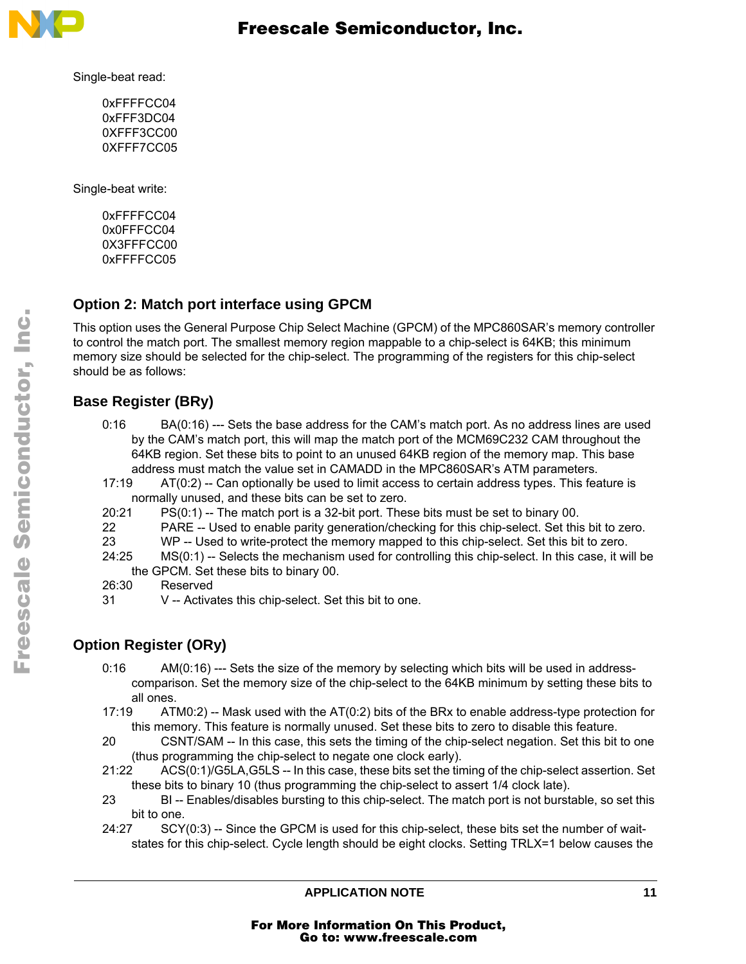

Single-beat read:

0xFFFFCC04 0xFFF3DC04 0XFFF3CC00 0XFFF7CC05

Single-beat write:

0xFFFFCC04 0x0FFFCC04 0X3FFFCC00 0xFFFFCC05

#### **Option 2: Match port interface using GPCM**

This option uses the General Purpose Chip Select Machine (GPCM) of the MPC860SAR's memory controller to control the match port. The smallest memory region mappable to a chip-select is 64KB; this minimum memory size should be selected for the chip-select. The programming of the registers for this chip-select should be as follows:

#### **Base Register (BRy)**

- 0:16 BA(0:16) --- Sets the base address for the CAM's match port. As no address lines are used by the CAM's match port, this will map the match port of the MCM69C232 CAM throughout the 64KB region. Set these bits to point to an unused 64KB region of the memory map. This base address must match the value set in CAMADD in the MPC860SAR's ATM parameters.
- 17:19 AT(0:2) -- Can optionally be used to limit access to certain address types. This feature is normally unused, and these bits can be set to zero.
- 20:21 PS(0:1) -- The match port is a 32-bit port. These bits must be set to binary 00.
- 22 PARE -- Used to enable parity generation/checking for this chip-select. Set this bit to zero.
- 23 WP -- Used to write-protect the memory mapped to this chip-select. Set this bit to zero.
- 24:25 MS(0:1) -- Selects the mechanism used for controlling this chip-select. In this case, it will be the GPCM. Set these bits to binary 00.
- 26:30 Reserved
- 31 V -- Activates this chip-select. Set this bit to one.

#### **Option Register (ORy)**

- 0:16 AM(0:16) --- Sets the size of the memory by selecting which bits will be used in addresscomparison. Set the memory size of the chip-select to the 64KB minimum by setting these bits to all ones.
- 17:19 ATM0:2) -- Mask used with the AT(0:2) bits of the BRx to enable address-type protection for this memory. This feature is normally unused. Set these bits to zero to disable this feature.
- 20 CSNT/SAM -- In this case, this sets the timing of the chip-select negation. Set this bit to one (thus programming the chip-select to negate one clock early).
- 21:22 ACS(0:1)/G5LA,G5LS -- In this case, these bits set the timing of the chip-select assertion. Set these bits to binary 10 (thus programming the chip-select to assert 1/4 clock late).
- 23 BI -- Enables/disables bursting to this chip-select. The match port is not burstable, so set this bit to one.
- 24:27 SCY(0:3) -- Since the GPCM is used for this chip-select, these bits set the number of waitstates for this chip-select. Cycle length should be eight clocks. Setting TRLX=1 below causes the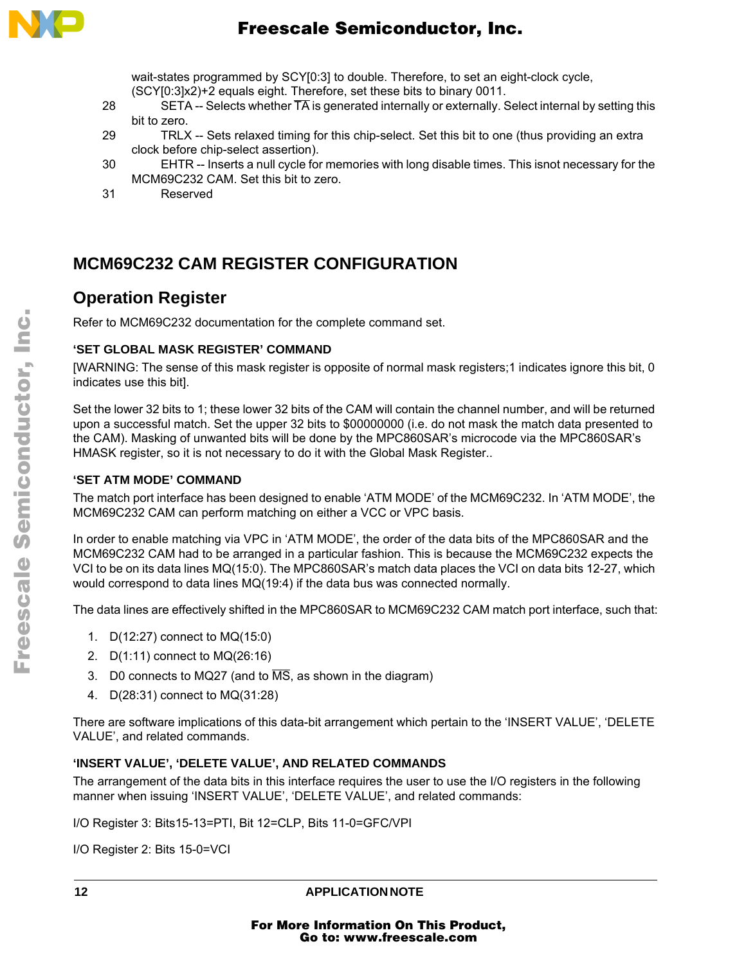

wait-states programmed by SCY[0:3] to double. Therefore, to set an eight-clock cycle, (SCY[0:3]x2)+2 equals eight. Therefore, set these bits to binary 0011.

- 28 SETA -- Selects whether  $\overline{TA}$  is generated internally or externally. Select internal by setting this bit to zero.
- 29 TRLX -- Sets relaxed timing for this chip-select. Set this bit to one (thus providing an extra clock before chip-select assertion).
- 30 EHTR -- Inserts a null cycle for memories with long disable times. This isnot necessary for the MCM69C232 CAM. Set this bit to zero.
- 31 Reserved

## **MCM69C232 CAM REGISTER CONFIGURATION**

#### **Operation Register**

Refer to MCM69C232 documentation for the complete command set.

#### **'SET GLOBAL MASK REGISTER' COMMAND**

[WARNING: The sense of this mask register is opposite of normal mask registers;1 indicates ignore this bit, 0 indicates use this bit].

Set the lower 32 bits to 1; these lower 32 bits of the CAM will contain the channel number, and will be returned upon a successful match. Set the upper 32 bits to \$00000000 (i.e. do not mask the match data presented to the CAM). Masking of unwanted bits will be done by the MPC860SAR's microcode via the MPC860SAR's HMASK register, so it is not necessary to do it with the Global Mask Register..

#### **'SET ATM MODE' COMMAND**

The match port interface has been designed to enable 'ATM MODE' of the MCM69C232. In 'ATM MODE', the MCM69C232 CAM can perform matching on either a VCC or VPC basis.

In order to enable matching via VPC in 'ATM MODE', the order of the data bits of the MPC860SAR and the MCM69C232 CAM had to be arranged in a particular fashion. This is because the MCM69C232 expects the VCI to be on its data lines MQ(15:0). The MPC860SAR's match data places the VCI on data bits 12-27, which would correspond to data lines MQ(19:4) if the data bus was connected normally.

The data lines are effectively shifted in the MPC860SAR to MCM69C232 CAM match port interface, such that:

- 1. D(12:27) connect to MQ(15:0)
- 2. D(1:11) connect to MQ(26:16)
- 3. D0 connects to MQ27 (and to  $\overline{\text{MS}}$ , as shown in the diagram)
- 4. D(28:31) connect to MQ(31:28)

There are software implications of this data-bit arrangement which pertain to the 'INSERT VALUE', 'DELETE VALUE', and related commands.

#### **'INSERT VALUE', 'DELETE VALUE', AND RELATED COMMANDS**

The arrangement of the data bits in this interface requires the user to use the I/O registers in the following manner when issuing 'INSERT VALUE', 'DELETE VALUE', and related commands:

I/O Register 3: Bits15-13=PTI, Bit 12=CLP, Bits 11-0=GFC/VPI

I/O Register 2: Bits 15-0=VCI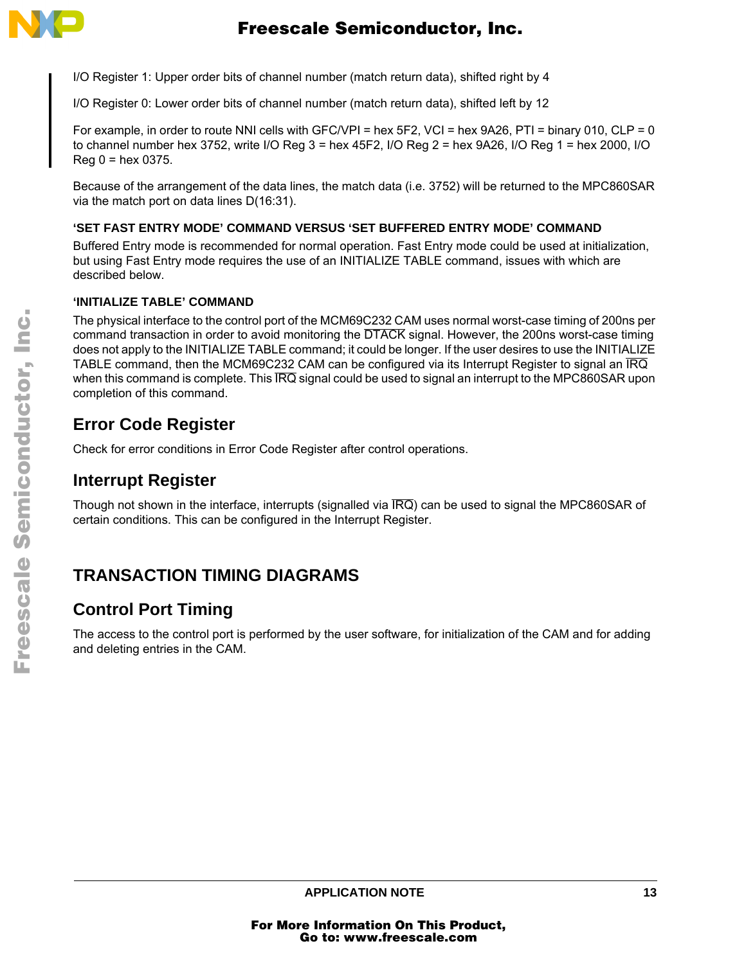

I/O Register 1: Upper order bits of channel number (match return data), shifted right by 4

I/O Register 0: Lower order bits of channel number (match return data), shifted left by 12

For example, in order to route NNI cells with GFC/VPI = hex  $5F2$ , VCI = hex  $9A26$ , PTI = binary 010, CLP = 0 to channel number hex 3752, write I/O Reg 3 = hex 45F2, I/O Reg 2 = hex 9A26, I/O Reg 1 = hex 2000, I/O  $Reg 0 = hex 0375.$ 

Because of the arrangement of the data lines, the match data (i.e. 3752) will be returned to the MPC860SAR via the match port on data lines D(16:31).

#### **'SET FAST ENTRY MODE' COMMAND VERSUS 'SET BUFFERED ENTRY MODE' COMMAND**

Buffered Entry mode is recommended for normal operation. Fast Entry mode could be used at initialization, but using Fast Entry mode requires the use of an INITIALIZE TABLE command, issues with which are described below.

#### **'INITIALIZE TABLE' COMMAND**

The physical interface to the control port of the MCM69C232 CAM uses normal worst-case timing of 200ns per command transaction in order to avoid monitoring the DTACK signal. However, the 200ns worst-case timing does not apply to the INITIALIZE TABLE command; it could be longer. If the user desires to use the INITIALIZE TABLE command, then the MCM69C232 CAM can be configured via its Interrupt Register to signal an IRQ when this command is complete. This  $\overline{IRQ}$  signal could be used to signal an interrupt to the MPC860SAR upon completion of this command.

## **Error Code Register**

Check for error conditions in Error Code Register after control operations.

## **Interrupt Register**

Though not shown in the interface, interrupts (signalled via IRQ) can be used to signal the MPC860SAR of certain conditions. This can be configured in the Interrupt Register.

## **TRANSACTION TIMING DIAGRAMS**

## **Control Port Timing**

The access to the control port is performed by the user software, for initialization of the CAM and for adding and deleting entries in the CAM.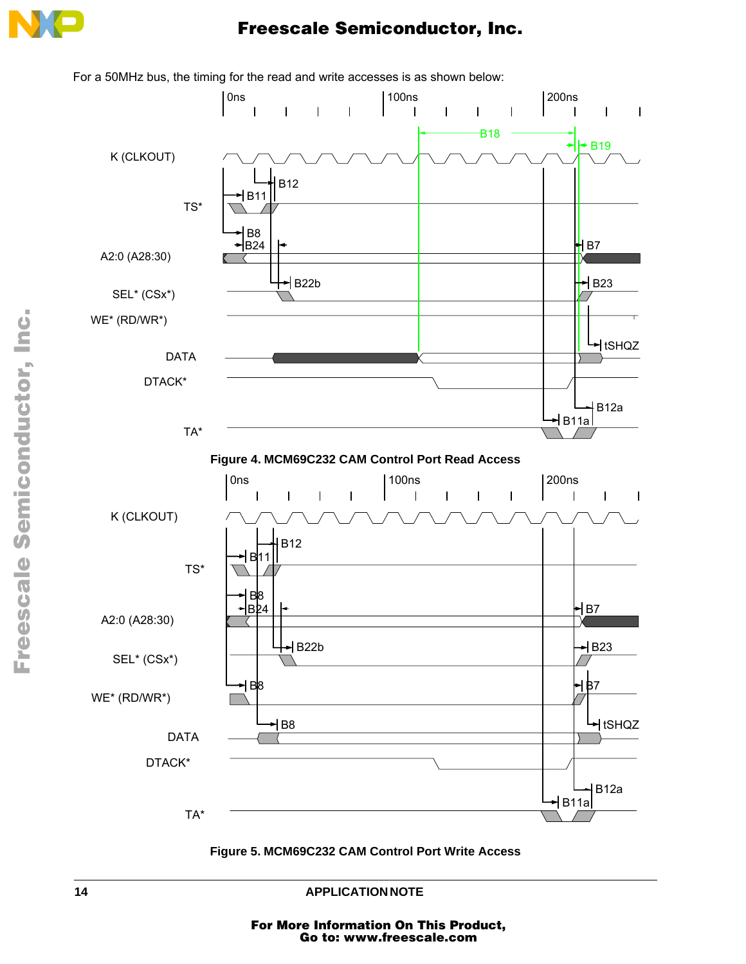



For a 50MHz bus, the timing for the read and write accesses is as shown below:



**14 APPLICATION NOTE**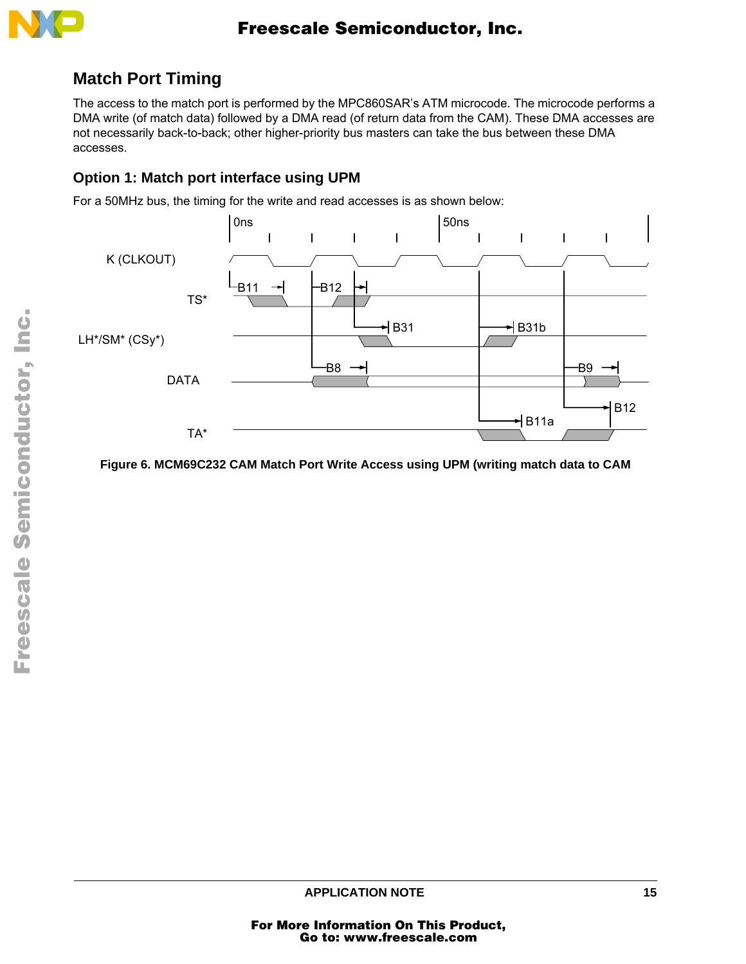

## **Match Port Timing**

The access to the match port is performed by the MPC860SAR's ATM microcode. The microcode performs a DMA write (of match data) followed by a DMA read (of return data from the CAM). These DMA accesses are not necessarily back-to-back; other higher-priority bus masters can take the bus between these DMA accesses.

#### **Option 1: Match port interface using UPM**

For a 50MHz bus, the timing for the write and read accesses is as shown below:



**Figure 6. MCM69C232 CAM Match Port Write Access using UPM (writing match data to CAM**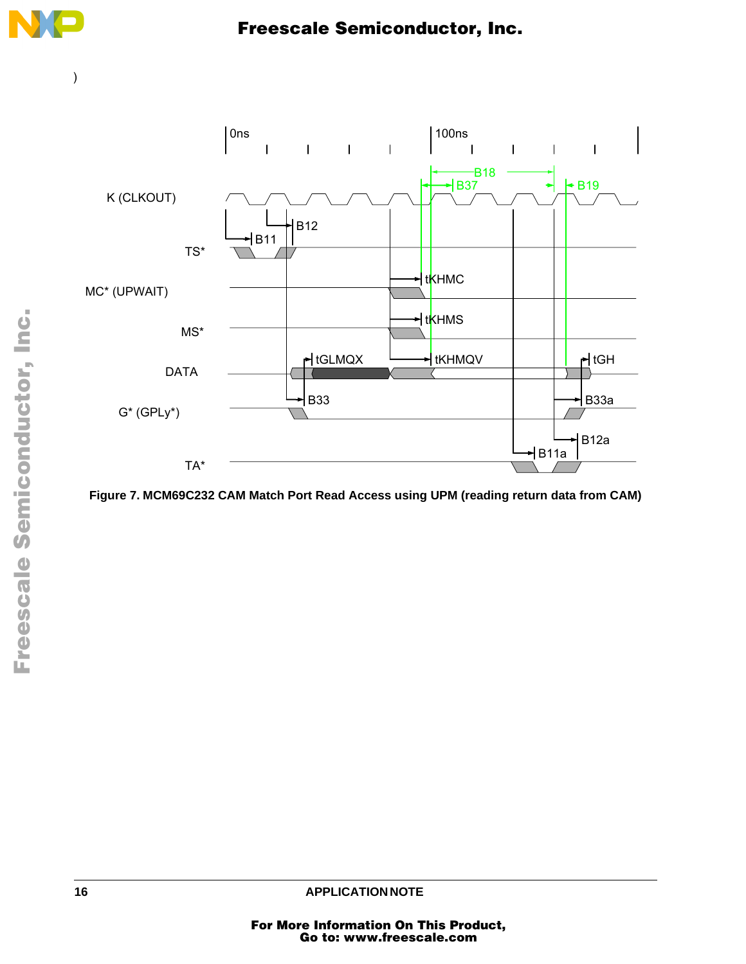

)



**Figure 7. MCM69C232 CAM Match Port Read Access using UPM (reading return data from CAM)**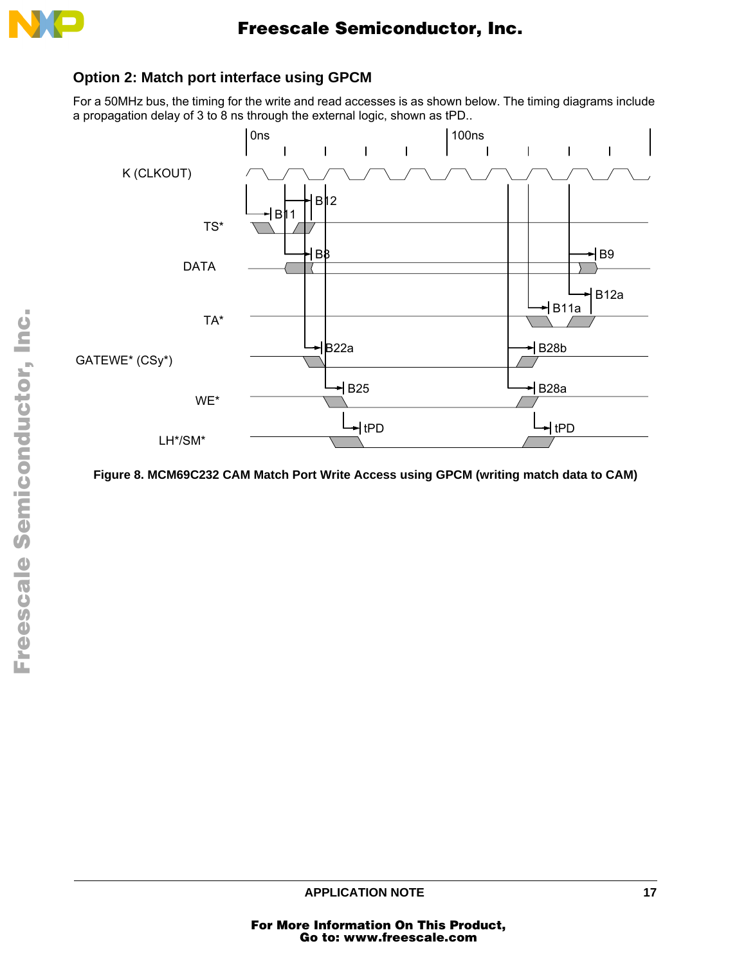

#### **Option 2: Match port interface using GPCM**

For a 50MHz bus, the timing for the write and read accesses is as shown below. The timing diagrams include a propagation delay of 3 to 8 ns through the external logic, shown as tPD..



**Figure 8. MCM69C232 CAM Match Port Write Access using GPCM (writing match data to CAM)**